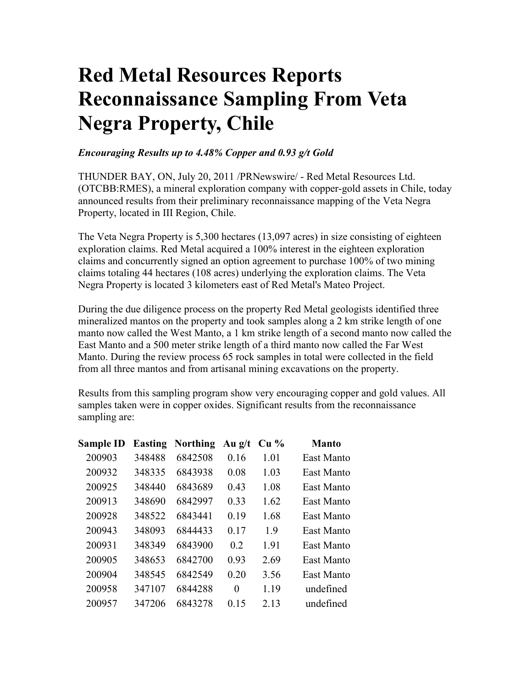## **Red Metal Resources Reports Reconnaissance Sampling From Veta Negra Property, Chile**

## *Encouraging Results up to 4.48% Copper and 0.93 g/t Gold*

THUNDER BAY, ON, July 20, 2011 /PRNewswire/ - Red Metal Resources Ltd. (OTCBB:RMES), a mineral exploration company with copper-gold assets in Chile, today announced results from their preliminary reconnaissance mapping of the Veta Negra Property, located in III Region, Chile.

The Veta Negra Property is 5,300 hectares (13,097 acres) in size consisting of eighteen exploration claims. Red Metal acquired a 100% interest in the eighteen exploration claims and concurrently signed an option agreement to purchase 100% of two mining claims totaling 44 hectares (108 acres) underlying the exploration claims. The Veta Negra Property is located 3 kilometers east of Red Metal's Mateo Project.

During the due diligence process on the property Red Metal geologists identified three mineralized mantos on the property and took samples along a 2 km strike length of one manto now called the West Manto, a 1 km strike length of a second manto now called the East Manto and a 500 meter strike length of a third manto now called the Far West Manto. During the review process 65 rock samples in total were collected in the field from all three mantos and from artisanal mining excavations on the property.

Results from this sampling program show very encouraging copper and gold values. All samples taken were in copper oxides. Significant results from the reconnaissance sampling are:

| <b>Sample ID</b> | <b>Easting</b> | <b>Northing</b> | Au $g/t$ | Cu <sub>9</sub> | <b>Manto</b> |
|------------------|----------------|-----------------|----------|-----------------|--------------|
| 200903           | 348488         | 6842508         | 0.16     | 1.01            | East Manto   |
| 200932           | 348335         | 6843938         | 0.08     | 1.03            | East Manto   |
| 200925           | 348440         | 6843689         | 0.43     | 1.08            | East Manto   |
| 200913           | 348690         | 6842997         | 0.33     | 1.62            | East Manto   |
| 200928           | 348522         | 6843441         | 0.19     | 1.68            | East Manto   |
| 200943           | 348093         | 6844433         | 0.17     | 1.9             | East Manto   |
| 200931           | 348349         | 6843900         | 02       | 1.91            | East Manto   |
| 200905           | 348653         | 6842700         | 0.93     | 2.69            | East Manto   |
| 200904           | 348545         | 6842549         | 0.20     | 3.56            | East Manto   |
| 200958           | 347107         | 6844288         | $\theta$ | 1.19            | undefined    |
| 200957           | 347206         | 6843278         | 0.15     | 2 1 3           | undefined    |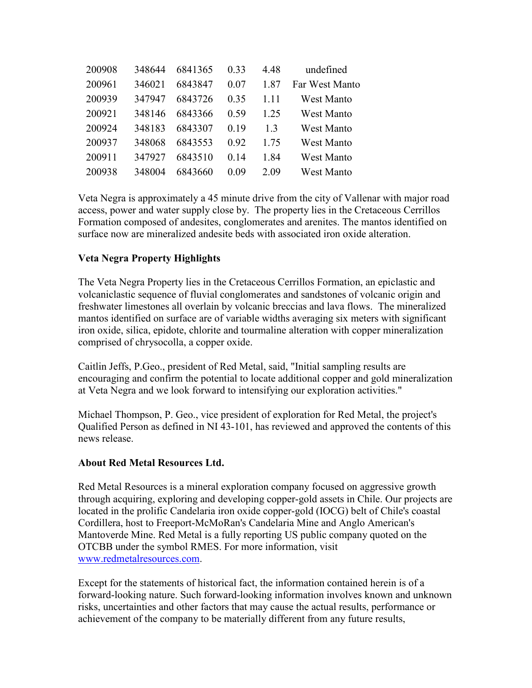| 200908 | 348644 | 6841365 | 0.33 | 4.48  | undefined      |
|--------|--------|---------|------|-------|----------------|
| 200961 | 346021 | 6843847 | 0.07 | 1.87  | Far West Manto |
| 200939 | 347947 | 6843726 | 0.35 | 1 1 1 | West Manto     |
| 200921 | 348146 | 6843366 | 0.59 | 1 25  | West Manto     |
| 200924 | 348183 | 6843307 | 0.19 | 13    | West Manto     |
| 200937 | 348068 | 6843553 | 0.92 | 1 75  | West Manto     |
| 200911 | 347927 | 6843510 | 0.14 | 1.84  | West Manto     |
| 200938 | 348004 | 6843660 | 0.09 | 2.09  | West Manto     |

Veta Negra is approximately a 45 minute drive from the city of Vallenar with major road access, power and water supply close by. The property lies in the Cretaceous Cerrillos Formation composed of andesites, conglomerates and arenites. The mantos identified on surface now are mineralized andesite beds with associated iron oxide alteration.

## **Veta Negra Property Highlights**

The Veta Negra Property lies in the Cretaceous Cerrillos Formation, an epiclastic and volcaniclastic sequence of fluvial conglomerates and sandstones of volcanic origin and freshwater limestones all overlain by volcanic breccias and lava flows. The mineralized mantos identified on surface are of variable widths averaging six meters with significant iron oxide, silica, epidote, chlorite and tourmaline alteration with copper mineralization comprised of chrysocolla, a copper oxide.

Caitlin Jeffs, P.Geo., president of Red Metal, said, "Initial sampling results are encouraging and confirm the potential to locate additional copper and gold mineralization at Veta Negra and we look forward to intensifying our exploration activities."

Michael Thompson, P. Geo., vice president of exploration for Red Metal, the project's Qualified Person as defined in NI 43-101, has reviewed and approved the contents of this news release.

## **About Red Metal Resources Ltd.**

Red Metal Resources is a mineral exploration company focused on aggressive growth through acquiring, exploring and developing copper-gold assets in Chile. Our projects are located in the prolific Candelaria iron oxide copper-gold (IOCG) belt of Chile's coastal Cordillera, host to Freeport-McMoRan's Candelaria Mine and Anglo American's Mantoverde Mine. Red Metal is a fully reporting US public company quoted on the OTCBB under the symbol RMES. For more information, visit www.redmetalresources.com.

Except for the statements of historical fact, the information contained herein is of a forward-looking nature. Such forward-looking information involves known and unknown risks, uncertainties and other factors that may cause the actual results, performance or achievement of the company to be materially different from any future results,